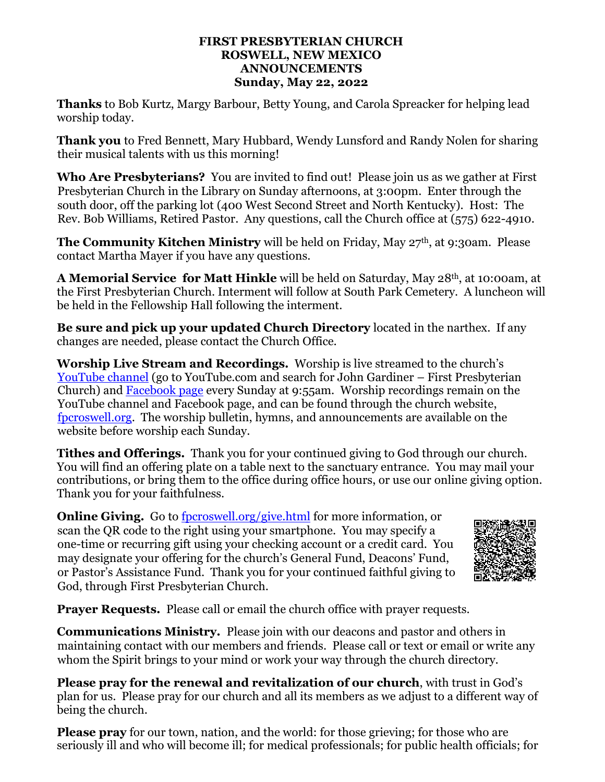#### **FIRST PRESBYTERIAN CHURCH ROSWELL, NEW MEXICO ANNOUNCEMENTS Sunday, May 22, 2022**

**Thanks** to Bob Kurtz, Margy Barbour, Betty Young, and Carola Spreacker for helping lead worship today.

**Thank you** to Fred Bennett, Mary Hubbard, Wendy Lunsford and Randy Nolen for sharing their musical talents with us this morning!

**Who Are Presbyterians?** You are invited to find out! Please join us as we gather at First Presbyterian Church in the Library on Sunday afternoons, at 3:00pm. Enter through the south door, off the parking lot (400 West Second Street and North Kentucky). Host: The Rev. Bob Williams, Retired Pastor. Any questions, call the Church office at (575) 622-4910.

**The Community Kitchen Ministry** will be held on Friday, May 27<sup>th</sup>, at 9:30am. Please contact Martha Mayer if you have any questions.

**A Memorial Service for Matt Hinkle** will be held on Saturday, May 28th, at 10:00am, at the First Presbyterian Church. Interment will follow at South Park Cemetery. A luncheon will be held in the Fellowship Hall following the interment.

**Be sure and pick up your updated Church Directory** located in the narthex. If any changes are needed, please contact the Church Office.

**Worship Live Stream and Recordings.** Worship is live streamed to the church's [YouTube channel](https://www.youtube.com/results?search_query=John+Gardiner+-+First+Presbyterian+Church+) (go to YouTube.com and search for John Gardiner – First Presbyterian Church) and [Facebook page](https://www.facebook.com/fpcroswell) every Sunday at 9:55am. Worship recordings remain on the YouTube channel and Facebook page, and can be found through the church website, [fpcroswell.org.](https://www.fpcroswell.org/worship-recordings.html) The worship bulletin, hymns, and announcements are available on the website before worship each Sunday.

**Tithes and Offerings.** Thank you for your continued giving to God through our church. You will find an offering plate on a table next to the sanctuary entrance. You may mail your contributions, or bring them to the office during office hours, or use our online giving option. Thank you for your faithfulness.

**Online Giving.** Go to [fpcroswell.org/give.html](http://fpcroswell.org/give.html) for more information, or scan the QR code to the right using your smartphone. You may specify a one-time or recurring gift using your checking account or a credit card. You may designate your offering for the church's General Fund, Deacons' Fund, or Pastor's Assistance Fund. Thank you for your continued faithful giving to God, through First Presbyterian Church.



**Prayer Requests.** Please call or email the church office with prayer requests.

**Communications Ministry.** Please join with our deacons and pastor and others in maintaining contact with our members and friends. Please call or text or email or write any whom the Spirit brings to your mind or work your way through the church directory.

**Please pray for the renewal and revitalization of our church**, with trust in God's plan for us. Please pray for our church and all its members as we adjust to a different way of being the church.

**Please pray** for our town, nation, and the world: for those grieving; for those who are seriously ill and who will become ill; for medical professionals; for public health officials; for